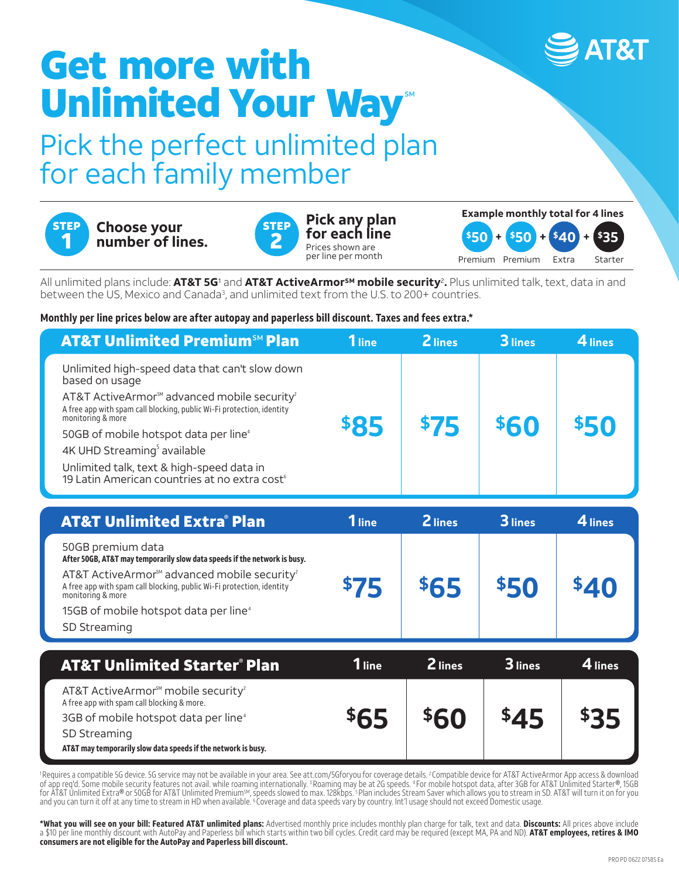# Get more with Unlimited Your Way<sup>®</sup>

### Pick the perfect unlimited plan for each family member



## <sup>2</sup> **Choose your number of lines.**



**Pick any plan for each line** Prices shown are per line per month



All unlimited plans include: **AT&T 5G**<sup>1</sup> and **AT&T ActiveArmorSM mobile security**2**.** Plus unlimited talk, text, data in and between the US, Mexico and Canada3, and unlimited text from the U.S. to 200+ countries.

#### **Monthly per line prices below are after autopay and paperless bill discount. Taxes and fees extra.\***

| <b>AT&amp;T Unlimited Premium<sup>5M</sup> Plan</b>                                                                                                               | $1$ line    | 2 lines | 3 lines | $4$ lines |
|-------------------------------------------------------------------------------------------------------------------------------------------------------------------|-------------|---------|---------|-----------|
| Unlimited high-speed data that can't slow down<br>based on usage                                                                                                  | <b>\$85</b> |         |         |           |
| AT&T ActiveArmor <sup>™</sup> advanced mobile security <sup>2</sup><br>A free app with spam call blocking, public Wi-Fi protection, identity<br>monitoring & more |             |         |         |           |
| 50GB of mobile hotspot data per line <sup>4</sup>                                                                                                                 |             | \$75    | 560     |           |
| 4K UHD Streaming <sup>5</sup> available                                                                                                                           |             |         |         |           |
| Unlimited talk, text & high-speed data in<br>19 Latin American countries at no extra cost <sup>6</sup>                                                            |             |         |         |           |

| <b>AT&amp;T Unlimited Extra® Plan</b>                                                                                                                              | <b>1</b> line | 2 lines | 3 lines | 4 lines |
|--------------------------------------------------------------------------------------------------------------------------------------------------------------------|---------------|---------|---------|---------|
| 50GB premium data<br>After 50GB, AT&T may temporarily slow data speeds if the network is busy.                                                                     |               |         |         |         |
| AT&T ActiveArmor <sup>SM</sup> advanced mobile security <sup>2</sup><br>A free app with spam call blocking, public Wi-Fi protection, identity<br>monitoring & more | \$75          | \$65    |         |         |
| 15GB of mobile hotspot data per line <sup>4</sup>                                                                                                                  |               |         |         |         |
| SD Streaming                                                                                                                                                       |               |         |         |         |

| <b>AT&amp;T Unlimited Starter<sup>®</sup> Plan</b>                                                                                                                                                                                            | 1 line      | <b>Z</b> lines | $\mathbf 3$ lines | $\boldsymbol{4}$ lines |
|-----------------------------------------------------------------------------------------------------------------------------------------------------------------------------------------------------------------------------------------------|-------------|----------------|-------------------|------------------------|
| AT&T ActiveArmor <sup>™</sup> mobile security <sup>2</sup><br>A free app with spam call blocking & more.<br>3GB of mobile hotspot data per line <sup>4</sup><br>SD Streaming<br>AT&T may temporarily slow data speeds if the network is busy. | <b>\$65</b> | \$60           | \$45              | っつに                    |

1 Requires a compatible 5G device. 5G service may not be available in your area. See att.com/5Gforyou for coverage details. 2 Compatible device for AT&T ActiveArmor App access & download of app req'd. Some mobile security features not avail. while roaming internationally. 3 Roaming may be at 2G speeds. 4 For mobile hotspot data, after 3GB for AT&T Unlimited Starter®, 15GB for AT&T Unlimited Extra® or 50GB for AT&T Unlimited PremiumSM, speeds slowed to max. 128kbps. 5 Plan includes Stream Saver which allows you to stream in SD. AT&T will turn it on for you and you can turn it off at any time to stream in HD when available. 6 Coverage and data speeds vary by country. Int'l usage should not exceed Domestic usage.

**\*What you will see on your bill: Featured AT&T unlimited plans:** Advertised monthly price includes monthly plan charge for talk, text and data. **Discounts:** All prices above include a \$10 per line monthly discount with AutoPay and Paperless bill which starts within two bill cycles. Credit card may be required (except MA, PA and ND). **AT&T employees, retires & IMO consumers are not eligible for the AutoPay and Paperless bill discount.**